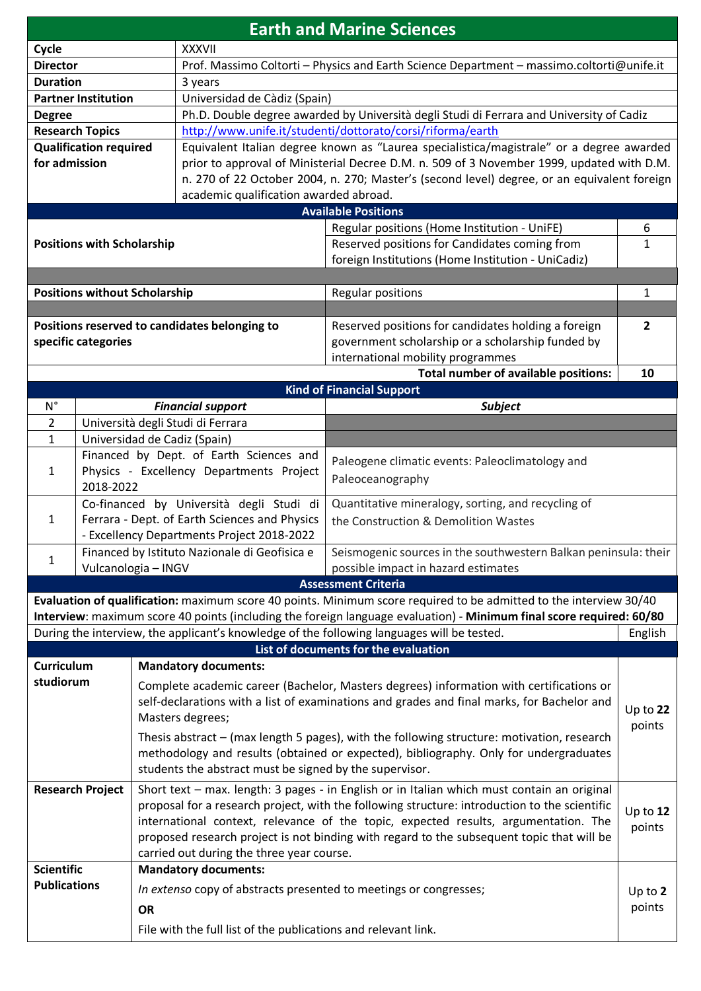| <b>Earth and Marine Sciences</b>                                                                                                   |                                                                                                |                      |  |
|------------------------------------------------------------------------------------------------------------------------------------|------------------------------------------------------------------------------------------------|----------------------|--|
| Cycle<br><b>XXXVII</b>                                                                                                             |                                                                                                |                      |  |
| <b>Director</b>                                                                                                                    | Prof. Massimo Coltorti - Physics and Earth Science Department - massimo.coltorti@unife.it      |                      |  |
| <b>Duration</b><br>3 years                                                                                                         |                                                                                                |                      |  |
| Universidad de Càdiz (Spain)<br><b>Partner Institution</b>                                                                         |                                                                                                |                      |  |
| <b>Degree</b>                                                                                                                      | Ph.D. Double degree awarded by Università degli Studi di Ferrara and University of Cadiz       |                      |  |
| http://www.unife.it/studenti/dottorato/corsi/riforma/earth<br><b>Research Topics</b>                                               |                                                                                                |                      |  |
| Equivalent Italian degree known as "Laurea specialistica/magistrale" or a degree awarded<br><b>Qualification required</b>          |                                                                                                |                      |  |
| for admission                                                                                                                      | prior to approval of Ministerial Decree D.M. n. 509 of 3 November 1999, updated with D.M.      |                      |  |
| n. 270 of 22 October 2004, n. 270; Master's (second level) degree, or an equivalent foreign                                        |                                                                                                |                      |  |
| academic qualification awarded abroad.<br><b>Available Positions</b>                                                               |                                                                                                |                      |  |
|                                                                                                                                    |                                                                                                | 6                    |  |
| Regular positions (Home Institution - UniFE)<br>Reserved positions for Candidates coming from<br><b>Positions with Scholarship</b> |                                                                                                | $\mathbf{1}$         |  |
| foreign Institutions (Home Institution - UniCadiz)                                                                                 |                                                                                                |                      |  |
|                                                                                                                                    |                                                                                                |                      |  |
| <b>Positions without Scholarship</b><br><b>Regular positions</b>                                                                   |                                                                                                | 1                    |  |
|                                                                                                                                    |                                                                                                |                      |  |
| Positions reserved to candidates belonging to<br>Reserved positions for candidates holding a foreign                               |                                                                                                | $\overline{2}$       |  |
| government scholarship or a scholarship funded by<br>specific categories                                                           |                                                                                                |                      |  |
|                                                                                                                                    | international mobility programmes                                                              |                      |  |
| Total number of available positions:<br>10                                                                                         |                                                                                                |                      |  |
| <b>Kind of Financial Support</b>                                                                                                   |                                                                                                |                      |  |
| $N^{\circ}$<br><b>Financial support</b>                                                                                            | <b>Subject</b>                                                                                 |                      |  |
| Università degli Studi di Ferrara<br>$\overline{2}$                                                                                |                                                                                                |                      |  |
| Universidad de Cadiz (Spain)<br>$\mathbf{1}$                                                                                       |                                                                                                |                      |  |
| Financed by Dept. of Earth Sciences and                                                                                            | Paleogene climatic events: Paleoclimatology and                                                |                      |  |
| Physics - Excellency Departments Project<br>$\mathbf{1}$<br>Paleoceanography                                                       |                                                                                                |                      |  |
| 2018-2022                                                                                                                          |                                                                                                |                      |  |
| Ferrara - Dept. of Earth Sciences and Physics<br>$\mathbf{1}$                                                                      | Co-financed by Università degli Studi di<br>Quantitative mineralogy, sorting, and recycling of |                      |  |
| - Excellency Departments Project 2018-2022                                                                                         | the Construction & Demolition Wastes                                                           |                      |  |
| Financed by Istituto Nazionale di Geofisica e                                                                                      | Seismogenic sources in the southwestern Balkan peninsula: their                                |                      |  |
| Vulcanologia - INGV<br>possible impact in hazard estimates                                                                         | $\mathbf{1}$                                                                                   |                      |  |
| <b>Assessment Criteria</b>                                                                                                         |                                                                                                |                      |  |
| Evaluation of qualification: maximum score 40 points. Minimum score required to be admitted to the interview 30/40                 |                                                                                                |                      |  |
| Interview: maximum score 40 points (including the foreign language evaluation) - Minimum final score required: 60/80               |                                                                                                |                      |  |
| During the interview, the applicant's knowledge of the following languages will be tested.<br>English                              |                                                                                                |                      |  |
| List of documents for the evaluation                                                                                               |                                                                                                |                      |  |
|                                                                                                                                    |                                                                                                |                      |  |
| <b>Curriculum</b><br><b>Mandatory documents:</b>                                                                                   |                                                                                                |                      |  |
| studiorum<br>Complete academic career (Bachelor, Masters degrees) information with certifications or                               |                                                                                                |                      |  |
| self-declarations with a list of examinations and grades and final marks, for Bachelor and                                         |                                                                                                |                      |  |
| Masters degrees;                                                                                                                   |                                                                                                | Up to $22$           |  |
| Thesis abstract – (max length 5 pages), with the following structure: motivation, research                                         |                                                                                                | points               |  |
| methodology and results (obtained or expected), bibliography. Only for undergraduates                                              |                                                                                                |                      |  |
| students the abstract must be signed by the supervisor.                                                                            |                                                                                                |                      |  |
| Short text - max. length: 3 pages - in English or in Italian which must contain an original<br><b>Research Project</b>             |                                                                                                |                      |  |
| proposal for a research project, with the following structure: introduction to the scientific                                      |                                                                                                |                      |  |
| international context, relevance of the topic, expected results, argumentation. The                                                |                                                                                                | Up to $12$<br>points |  |
| proposed research project is not binding with regard to the subsequent topic that will be                                          |                                                                                                |                      |  |
| carried out during the three year course.                                                                                          |                                                                                                |                      |  |
| <b>Scientific</b><br><b>Mandatory documents:</b>                                                                                   |                                                                                                |                      |  |
| <b>Publications</b><br>In extenso copy of abstracts presented to meetings or congresses;                                           |                                                                                                | Up to $2$            |  |
| <b>OR</b>                                                                                                                          |                                                                                                | points               |  |